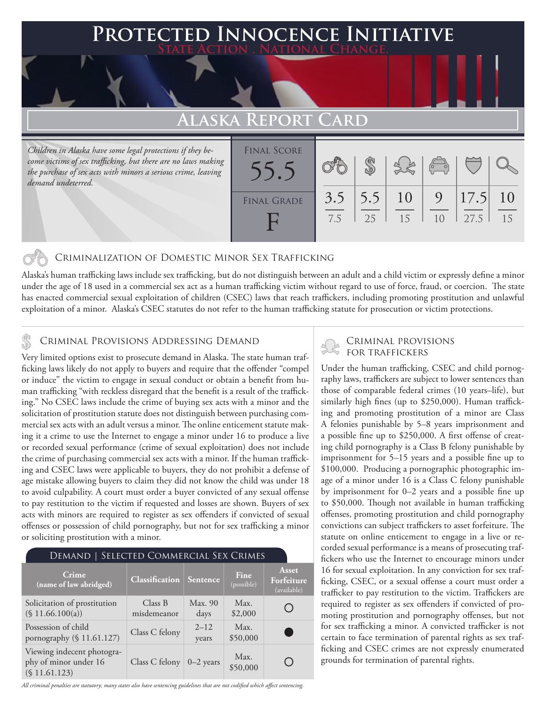## **Protected Innocence Initiative State Action . National Change.**

# **Alaska Report Card**

*Children in Alaska have some legal protections if they become victims of sex trafficking, but there are no laws making the purchase of sex acts with minors a serious crime, leaving demand undeterred.*

| <b>FINAL SCORE</b> |            |           |                     | $\sqrt{2}$ |              |          |
|--------------------|------------|-----------|---------------------|------------|--------------|----------|
| <b>FINAL GRADE</b> | 3.5<br>7.5 | 5.5<br>25 | <sup>10</sup><br>15 | 9<br>10    | 17.5<br>27.5 | 10<br>15 |
|                    |            |           |                     |            |              |          |

### Criminalization of Domestic Minor Sex Trafficking

Alaska's human trafficking laws include sex trafficking, but do not distinguish between an adult and a child victim or expressly define a minor under the age of 18 used in a commercial sex act as a human trafficking victim without regard to use of force, fraud, or coercion. The state has enacted commercial sexual exploitation of children (CSEC) laws that reach traffickers, including promoting prostitution and unlawful exploitation of a minor. Alaska's CSEC statutes do not refer to the human trafficking statute for prosecution or victim protections.

# CRIMINAL PROVISIONS ADDRESSING DEMAND<br>Very limited entire evict to processure demand in Alerka. The state human trafice FOR TRAFFICKERS

Very limited options exist to prosecute demand in Alaska. The state human trafficking laws likely do not apply to buyers and require that the offender "compel or induce" the victim to engage in sexual conduct or obtain a benefit from human trafficking "with reckless disregard that the benefit is a result of the trafficking." No CSEC laws include the crime of buying sex acts with a minor and the solicitation of prostitution statute does not distinguish between purchasing commercial sex acts with an adult versus a minor. The online enticement statute making it a crime to use the Internet to engage a minor under 16 to produce a live or recorded sexual performance (crime of sexual exploitation) does not include the crime of purchasing commercial sex acts with a minor. If the human trafficking and CSEC laws were applicable to buyers, they do not prohibit a defense of age mistake allowing buyers to claim they did not know the child was under 18 to avoid culpability. A court must order a buyer convicted of any sexual offense to pay restitution to the victim if requested and losses are shown. Buyers of sex acts with minors are required to register as sex offenders if convicted of sexual offenses or possession of child pornography, but not for sex trafficking a minor or soliciting prostitution with a minor.

| <b>DEMAND   SELECTED COMMERCIAL SEX CRIMES</b>                       |                        |                   |                    |                                    |  |  |  |  |
|----------------------------------------------------------------------|------------------------|-------------------|--------------------|------------------------------------|--|--|--|--|
| Crime<br>(name of law abridged)                                      | <b>Classification</b>  | Sentence          | Fine<br>(possible) | Asset<br>Forfeiture<br>(available) |  |  |  |  |
| Solicitation of prostitution<br>(\$ 11.66.100(a))                    | Class B<br>misdemeanor | Max. 90<br>days   | Max.<br>\$2,000    |                                    |  |  |  |  |
| Possession of child<br>pornography (§ 11.61.127)                     | Class C felony         | $2 - 12$<br>years | Max.<br>\$50,000   |                                    |  |  |  |  |
| Viewing indecent photogra-<br>phy of minor under 16<br>(S 11.61.123) | Class C felony         | $0-2$ years       | Max.<br>\$50,000   |                                    |  |  |  |  |

*All criminal penalties are statutory; many states also have sentencing guidelines that are not codified which affect sentencing.* 

Under the human trafficking, CSEC and child pornography laws, traffickers are subject to lower sentences than those of comparable federal crimes (10 years–life), but similarly high fines (up to \$250,000). Human trafficking and promoting prostitution of a minor are Class A felonies punishable by 5–8 years imprisonment and a possible fine up to \$250,000. A first offense of creating child pornography is a Class B felony punishable by imprisonment for 5–15 years and a possible fine up to \$100,000. Producing a pornographic photographic image of a minor under 16 is a Class C felony punishable by imprisonment for 0–2 years and a possible fine up to \$50,000. Though not available in human trafficking offenses, promoting prostitution and child pornography convictions can subject traffickers to asset forfeiture. The statute on online enticement to engage in a live or recorded sexual performance is a means of prosecuting traffickers who use the Internet to encourage minors under 16 for sexual exploitation. In any conviction for sex trafficking, CSEC, or a sexual offense a court must order a trafficker to pay restitution to the victim. Traffickers are required to register as sex offenders if convicted of promoting prostitution and pornography offenses, but not for sex trafficking a minor. A convicted trafficker is not certain to face termination of parental rights as sex trafficking and CSEC crimes are not expressly enumerated grounds for termination of parental rights.